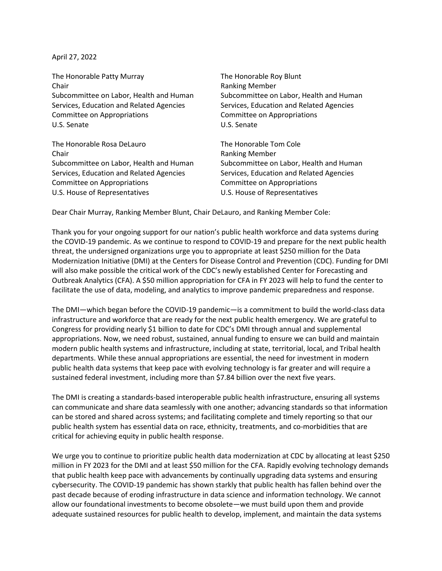April 27, 2022

The Honorable Patty Murray The Honorable Roy Blunt Chair **Chair Chair Chair Chair Chair Chair Chair Chair Chair Chair Chair Chair Chair Chair Chair Chair Chair Chair Chair Chair Chair Chair Chair Chair Chair Chair Chair** Subcommittee on Labor, Health and Human Services, Education and Related Agencies Committee on Appropriations Committee on Appropriations U.S. Senate U.S. Senate

The Honorable Rosa DeLauro The Honorable Tom Cole Chair **Chair** Chair **Ranking Member** Subcommittee on Labor, Health and Human Services, Education and Related Agencies Committee on Appropriations Committee on Appropriations U.S. House of Representatives U.S. House of Representatives

Subcommittee on Labor, Health and Human Services, Education and Related Agencies

Subcommittee on Labor, Health and Human Services, Education and Related Agencies

Dear Chair Murray, Ranking Member Blunt, Chair DeLauro, and Ranking Member Cole:

Thank you for your ongoing support for our nation's public health workforce and data systems during the COVID-19 pandemic. As we continue to respond to COVID-19 and prepare for the next public health threat, the undersigned organizations urge you to appropriate at least \$250 million for the Data Modernization Initiative (DMI) at the Centers for Disease Control and Prevention (CDC). Funding for DMI will also make possible the critical work of the CDC's newly established Center for Forecasting and Outbreak Analytics (CFA). A \$50 million appropriation for CFA in FY 2023 will help to fund the center to facilitate the use of data, modeling, and analytics to improve pandemic preparedness and response.

The DMI—which began before the COVID-19 pandemic—is a commitment to build the world-class data infrastructure and workforce that are ready for the next public health emergency. We are grateful to Congress for providing nearly \$1 billion to date for CDC's DMI through annual and supplemental appropriations. Now, we need robust, sustained, annual funding to ensure we can build and maintain modern public health systems and infrastructure, including at state, territorial, local, and Tribal health departments. While these annual appropriations are essential, the need for investment in modern public health data systems that keep pace with evolving technology is far greater and will require a sustained federal investment, including more than \$7.84 billion over the next five years.

The DMI is creating a standards-based interoperable public health infrastructure, ensuring all systems can communicate and share data seamlessly with one another; advancing standards so that information can be stored and shared across systems; and facilitating complete and timely reporting so that our public health system has essential data on race, ethnicity, treatments, and co-morbidities that are critical for achieving equity in public health response.

We urge you to continue to prioritize public health data modernization at CDC by allocating at least \$250 million in FY 2023 for the DMI and at least \$50 million for the CFA. Rapidly evolving technology demands that public health keep pace with advancements by continually upgrading data systems and ensuring cybersecurity. The COVID-19 pandemic has shown starkly that public health has fallen behind over the past decade because of eroding infrastructure in data science and information technology. We cannot allow our foundational investments to become obsolete—we must build upon them and provide adequate sustained resources for public health to develop, implement, and maintain the data systems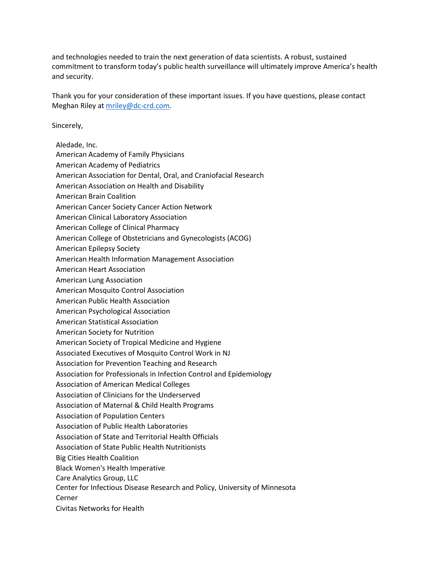and technologies needed to train the next generation of data scientists. A robust, sustained commitment to transform today's public health surveillance will ultimately improve America's health and security.

Thank you for your consideration of these important issues. If you have questions, please contact Meghan Riley at [mriley@dc-crd.com.](mailto:mriley@dc-crd.com)

Sincerely,

- Aledade, Inc.
- American Academy of Family Physicians
- American Academy of Pediatrics
- American Association for Dental, Oral, and Craniofacial Research
- American Association on Health and Disability
- American Brain Coalition
- American Cancer Society Cancer Action Network
- American Clinical Laboratory Association
- American College of Clinical Pharmacy
- American College of Obstetricians and Gynecologists (ACOG)
- American Epilepsy Society
- American Health Information Management Association
- American Heart Association
- American Lung Association
- American Mosquito Control Association
- American Public Health Association
- American Psychological Association
- American Statistical Association
- American Society for Nutrition
- American Society of Tropical Medicine and Hygiene
- Associated Executives of Mosquito Control Work in NJ
- Association for Prevention Teaching and Research
- Association for Professionals in Infection Control and Epidemiology
- Association of American Medical Colleges
- Association of Clinicians for the Underserved
- Association of Maternal & Child Health Programs
- Association of Population Centers
- Association of Public Health Laboratories
- Association of State and Territorial Health Officials
- Association of State Public Health Nutritionists
- Big Cities Health Coalition
- Black Women's Health Imperative
- Care Analytics Group, LLC
- Center for Infectious Disease Research and Policy, University of Minnesota
- Cerner
- Civitas Networks for Health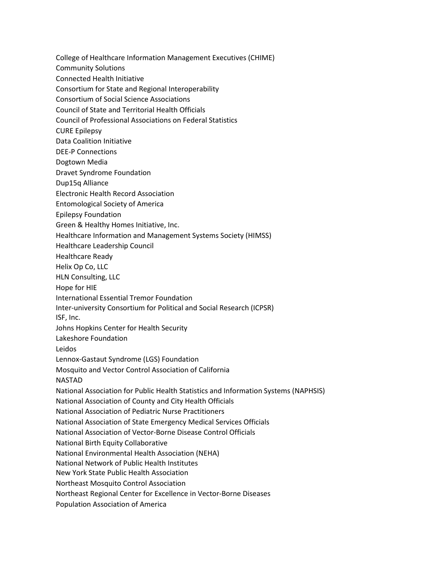College of Healthcare Information Management Executives (CHIME) Community Solutions Connected Health Initiative Consortium for State and Regional Interoperability Consortium of Social Science Associations Council of State and Territorial Health Officials Council of Professional Associations on Federal Statistics CURE Epilepsy Data Coalition Initiative DEE-P Connections Dogtown Media Dravet Syndrome Foundation Dup15q Alliance Electronic Health Record Association Entomological Society of America Epilepsy Foundation Green & Healthy Homes Initiative, Inc. Healthcare Information and Management Systems Society (HIMSS) Healthcare Leadership Council Healthcare Ready Helix Op Co, LLC HLN Consulting, LLC Hope for HIE International Essential Tremor Foundation Inter-university Consortium for Political and Social Research (ICPSR) ISF, Inc. Johns Hopkins Center for Health Security Lakeshore Foundation Leidos Lennox-Gastaut Syndrome (LGS) Foundation Mosquito and Vector Control Association of California NASTAD National Association for Public Health Statistics and Information Systems (NAPHSIS) National Association of County and City Health Officials National Association of Pediatric Nurse Practitioners National Association of State Emergency Medical Services Officials National Association of Vector-Borne Disease Control Officials National Birth Equity Collaborative National Environmental Health Association (NEHA) National Network of Public Health Institutes New York State Public Health Association Northeast Mosquito Control Association Northeast Regional Center for Excellence in Vector-Borne Diseases Population Association of America